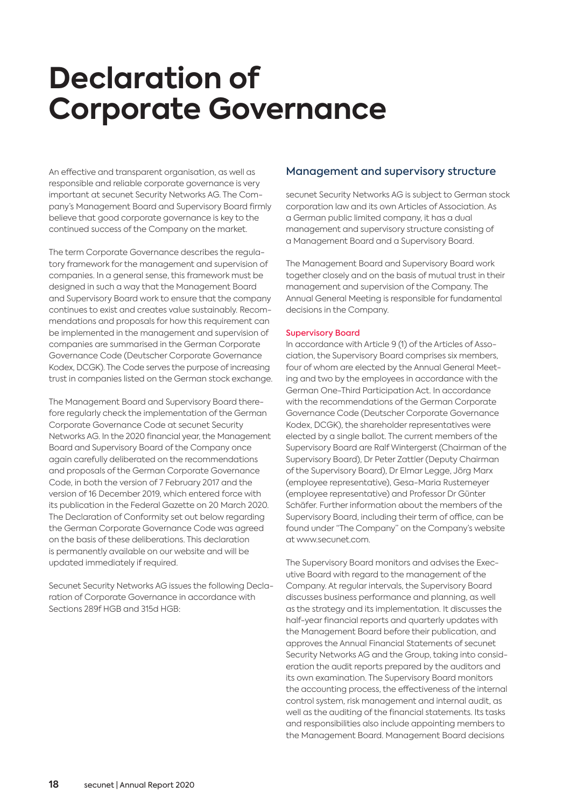# **Declaration of Corporate Governance**

An effective and transparent organisation, as well as responsible and reliable corporate governance is very important at secunet Security Networks AG. The Company's Management Board and Supervisory Board firmly believe that good corporate governance is key to the continued success of the Company on the market.

The term Corporate Governance describes the regulatory framework for the management and supervision of companies. In a general sense, this framework must be designed in such a way that the Management Board and Supervisory Board work to ensure that the company continues to exist and creates value sustainably. Recommendations and proposals for how this requirement can be implemented in the management and supervision of companies are summarised in the German Corporate Governance Code (Deutscher Corporate Governance Kodex, DCGK). The Code serves the purpose of increasing trust in companies listed on the German stock exchange.

The Management Board and Supervisory Board therefore regularly check the implementation of the German Corporate Governance Code at secunet Security Networks AG. In the 2020 financial year, the Management Board and Supervisory Board of the Company once again carefully deliberated on the recommendations and proposals of the German Corporate Governance Code, in both the version of 7 February 2017 and the version of 16 December 2019, which entered force with its publication in the Federal Gazette on 20 March 2020. The Declaration of Conformity set out below regarding the German Corporate Governance Code was agreed on the basis of these deliberations. This declaration is permanently available on our website and will be updated immediately if required.

Secunet Security Networks AG issues the following Declaration of Corporate Governance in accordance with Sections 289f HGB and 315d HGB:

## Management and supervisory structure

secunet Security Networks AG is subject to German stock corporation law and its own Articles of Association. As a German public limited company, it has a dual management and supervisory structure consisting of a Management Board and a Supervisory Board.

The Management Board and Supervisory Board work together closely and on the basis of mutual trust in their management and supervision of the Company. The Annual General Meeting is responsible for fundamental decisions in the Company.

#### Supervisory Board

In accordance with Article 9 (1) of the Articles of Association, the Supervisory Board comprises six members, four of whom are elected by the Annual General Meeting and two by the employees in accordance with the German One-Third Participation Act. In accordance with the recommendations of the German Corporate Governance Code (Deutscher Corporate Governance Kodex, DCGK), the shareholder representatives were elected by a single ballot. The current members of the Supervisory Board are Ralf Wintergerst (Chairman of the Supervisory Board), Dr Peter Zattler (Deputy Chairman of the Supervisory Board), Dr Elmar Legge, Jörg Marx (employee representative), Gesa-Maria Rustemeyer (employee representative) and Professor Dr Günter Schäfer. Further information about the members of the Supervisory Board, including their term of office, can be found under "The Company" on the Company's website at www.secunet.com.

The Supervisory Board monitors and advises the Executive Board with regard to the management of the Company. At regular intervals, the Supervisory Board discusses business performance and planning, as well as the strategy and its implementation. It discusses the half-year financial reports and quarterly updates with the Management Board before their publication, and approves the Annual Financial Statements of secunet Security Networks AG and the Group, taking into consideration the audit reports prepared by the auditors and its own examination. The Supervisory Board monitors the accounting process, the effectiveness of the internal control system, risk management and internal audit, as well as the auditing of the financial statements. Its tasks and responsibilities also include appointing members to the Management Board. Management Board decisions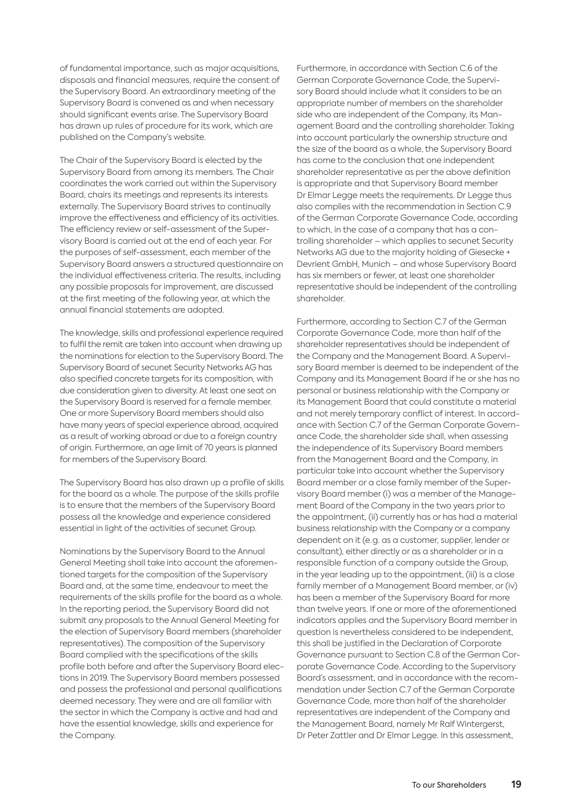of fundamental importance, such as major acquisitions, disposals and financial measures, require the consent of the Supervisory Board. An extraordinary meeting of the Supervisory Board is convened as and when necessary should significant events arise. The Supervisory Board has drawn up rules of procedure for its work, which are published on the Company's website.

The Chair of the Supervisory Board is elected by the Supervisory Board from among its members. The Chair coordinates the work carried out within the Supervisory Board, chairs its meetings and represents its interests externally. The Supervisory Board strives to continually improve the effectiveness and efficiency of its activities. The efficiency review or self-assessment of the Supervisory Board is carried out at the end of each year. For the purposes of self-assessment, each member of the Supervisory Board answers a structured questionnaire on the individual effectiveness criteria. The results, including any possible proposals for improvement, are discussed at the first meeting of the following year, at which the annual financial statements are adopted.

The knowledge, skills and professional experience required to fulfil the remit are taken into account when drawing up the nominations for election to the Supervisory Board. The Supervisory Board of secunet Security Networks AG has also specified concrete targets for its composition, with due consideration given to diversity. At least one seat on the Supervisory Board is reserved for a female member. One or more Supervisory Board members should also have many years of special experience abroad, acquired as a result of working abroad or due to a foreign country of origin. Furthermore, an age limit of 70 years is planned for members of the Supervisory Board.

The Supervisory Board has also drawn up a profile of skills for the board as a whole. The purpose of the skills profile is to ensure that the members of the Supervisory Board possess all the knowledge and experience considered essential in light of the activities of secunet Group.

Nominations by the Supervisory Board to the Annual General Meeting shall take into account the aforementioned targets for the composition of the Supervisory Board and, at the same time, endeavour to meet the requirements of the skills profile for the board as a whole. In the reporting period, the Supervisory Board did not submit any proposals to the Annual General Meeting for the election of Supervisory Board members (shareholder representatives). The composition of the Supervisory Board complied with the specifications of the skills profile both before and after the Supervisory Board elections in 2019. The Supervisory Board members possessed and possess the professional and personal qualifications deemed necessary. They were and are all familiar with the sector in which the Company is active and had and have the essential knowledge, skills and experience for the Company.

Furthermore, in accordance with Section C.6 of the German Corporate Governance Code, the Supervisory Board should include what it considers to be an appropriate number of members on the shareholder side who are independent of the Company, its Management Board and the controlling shareholder. Taking into account particularly the ownership structure and the size of the board as a whole, the Supervisory Board has come to the conclusion that one independent shareholder representative as per the above definition is appropriate and that Supervisory Board member Dr Elmar Legge meets the requirements. Dr Legge thus also complies with the recommendation in Section C.9 of the German Corporate Governance Code, according to which, in the case of a company that has a controlling shareholder – which applies to secunet Security Networks AG due to the majority holding of Giesecke + Devrient GmbH, Munich – and whose Supervisory Board has six members or fewer, at least one shareholder representative should be independent of the controlling shareholder.

Furthermore, according to Section C.7 of the German Corporate Governance Code, more than half of the shareholder representatives should be independent of the Company and the Management Board. A Supervisory Board member is deemed to be independent of the Company and its Management Board if he or she has no personal or business relationship with the Company or its Management Board that could constitute a material and not merely temporary conflict of interest. In accordance with Section C.7 of the German Corporate Governance Code, the shareholder side shall, when assessing the independence of its Supervisory Board members from the Management Board and the Company, in particular take into account whether the Supervisory Board member or a close family member of the Supervisory Board member (i) was a member of the Management Board of the Company in the two years prior to the appointment, (ii) currently has or has had a material business relationship with the Company or a company dependent on it (e. g. as a customer, supplier, lender or consultant), either directly or as a shareholder or in a responsible function of a company outside the Group, in the year leading up to the appointment, (iii) is a close family member of a Management Board member, or (iv) has been a member of the Supervisory Board for more than twelve years. If one or more of the aforementioned indicators applies and the Supervisory Board member in question is nevertheless considered to be independent, this shall be justified in the Declaration of Corporate Governance pursuant to Section C.8 of the German Corporate Governance Code. According to the Supervisory Board's assessment, and in accordance with the recommendation under Section C.7 of the German Corporate Governance Code, more than half of the shareholder representatives are independent of the Company and the Management Board, namely Mr Ralf Wintergerst, Dr Peter Zattler and Dr Elmar Legge. In this assessment,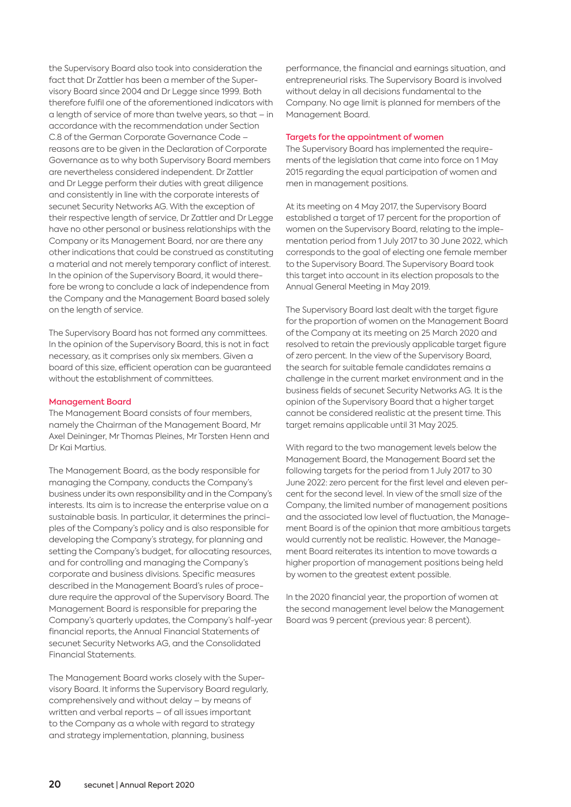the Supervisory Board also took into consideration the fact that Dr Zattler has been a member of the Supervisory Board since 2004 and Dr Legge since 1999. Both therefore fulfil one of the aforementioned indicators with a length of service of more than twelve years, so that – in accordance with the recommendation under Section C.8 of the German Corporate Governance Code – reasons are to be given in the Declaration of Corporate Governance as to why both Supervisory Board members are nevertheless considered independent. Dr Zattler and Dr Legge perform their duties with great diligence and consistently in line with the corporate interests of secunet Security Networks AG. With the exception of their respective length of service. Dr Zattler and Dr Legge have no other personal or business relationships with the Company or its Management Board, nor are there any other indications that could be construed as constituting a material and not merely temporary conflict of interest. In the opinion of the Supervisory Board, it would therefore be wrong to conclude a lack of independence from the Company and the Management Board based solely on the length of service.

The Supervisory Board has not formed any committees. In the opinion of the Supervisory Board, this is not in fact necessary, as it comprises only six members. Given a board of this size, efficient operation can be guaranteed without the establishment of committees.

#### Management Board

The Management Board consists of four members, namely the Chairman of the Management Board, Mr Axel Deininger, Mr Thomas Pleines, Mr Torsten Henn and Dr Kai Martius.

The Management Board, as the body responsible for managing the Company, conducts the Company's business under its own responsibility and in the Company's interests. Its aim is to increase the enterprise value on a sustainable basis. In particular, it determines the principles of the Company's policy and is also responsible for developing the Company's strategy, for planning and setting the Company's budget, for allocating resources, and for controlling and managing the Company's corporate and business divisions. Specific measures described in the Management Board's rules of procedure require the approval of the Supervisory Board. The Management Board is responsible for preparing the Company's quarterly updates, the Company's half-year financial reports, the Annual Financial Statements of secunet Security Networks AG, and the Consolidated Financial Statements.

The Management Board works closely with the Supervisory Board. It informs the Supervisory Board regularly, comprehensively and without delay – by means of written and verbal reports – of all issues important to the Company as a whole with regard to strategy and strategy implementation, planning, business

performance, the financial and earnings situation, and entrepreneurial risks. The Supervisory Board is involved without delay in all decisions fundamental to the Company. No age limit is planned for members of the Management Board.

#### Targets for the appointment of women

The Supervisory Board has implemented the requirements of the legislation that came into force on 1 May 2015 regarding the equal participation of women and men in management positions.

At its meeting on 4 May 2017, the Supervisory Board established a target of 17 percent for the proportion of women on the Supervisory Board, relating to the implementation period from 1 July 2017 to 30 June 2022, which corresponds to the goal of electing one female member to the Supervisory Board. The Supervisory Board took this target into account in its election proposals to the Annual General Meeting in May 2019.

The Supervisory Board last dealt with the target figure for the proportion of women on the Management Board of the Company at its meeting on 25 March 2020 and resolved to retain the previously applicable target figure of zero percent. In the view of the Supervisory Board, the search for suitable female candidates remains a challenge in the current market environment and in the business fields of secunet Security Networks AG. It is the opinion of the Supervisory Board that a higher target cannot be considered realistic at the present time. This target remains applicable until 31 May 2025.

With regard to the two management levels below the Management Board, the Management Board set the following targets for the period from 1 July 2017 to 30 June 2022: zero percent for the first level and eleven percent for the second level. In view of the small size of the Company, the limited number of management positions and the associated low level of fluctuation, the Management Board is of the opinion that more ambitious targets would currently not be realistic. However, the Management Board reiterates its intention to move towards a higher proportion of management positions being held by women to the greatest extent possible.

In the 2020 financial year, the proportion of women at the second management level below the Management Board was 9 percent (previous year: 8 percent).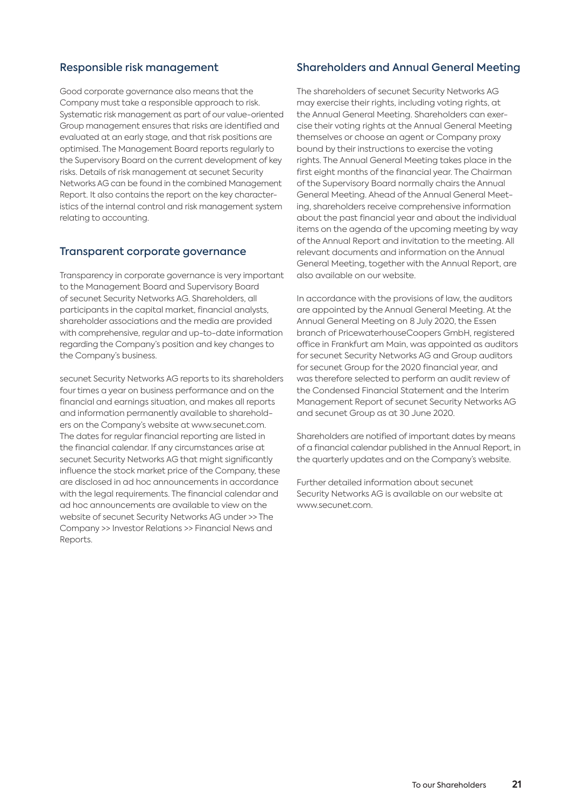#### Responsible risk management

Good corporate governance also means that the Company must take a responsible approach to risk. Systematic risk management as part of our value-oriented Group management ensures that risks are identified and evaluated at an early stage, and that risk positions are optimised. The Management Board reports regularly to the Supervisory Board on the current development of key risks. Details of risk management at secunet Security Networks AG can be found in the combined Management Report. It also contains the report on the key characteristics of the internal control and risk management system relating to accounting.

## Transparent corporate governance

Transparency in corporate governance is very important to the Management Board and Supervisory Board of secunet Security Networks AG. Shareholders, all participants in the capital market, financial analysts, shareholder associations and the media are provided with comprehensive, regular and up-to-date information regarding the Company's position and key changes to the Company's business.

secunet Security Networks AG reports to its shareholders four times a year on business performance and on the financial and earnings situation, and makes all reports and information permanently available to shareholders on the Company's website at www.secunet.com. The dates for regular financial reporting are listed in the financial calendar. If any circumstances arise at secunet Security Networks AG that might significantly influence the stock market price of the Company, these are disclosed in ad hoc announcements in accordance with the legal requirements. The financial calendar and ad hoc announcements are available to view on the website of secunet Security Networks AG under >> The Company >> Investor Relations >> Financial News and Reports.

#### Shareholders and Annual General Meeting

The shareholders of secunet Security Networks AG may exercise their rights, including voting rights, at the Annual General Meeting. Shareholders can exercise their voting rights at the Annual General Meeting themselves or choose an agent or Company proxy bound by their instructions to exercise the voting rights. The Annual General Meeting takes place in the first eight months of the financial year. The Chairman of the Supervisory Board normally chairs the Annual General Meeting. Ahead of the Annual General Meeting, shareholders receive comprehensive information about the past financial year and about the individual items on the agenda of the upcoming meeting by way of the Annual Report and invitation to the meeting. All relevant documents and information on the Annual General Meeting, together with the Annual Report, are also available on our website.

In accordance with the provisions of law, the auditors are appointed by the Annual General Meeting. At the Annual General Meeting on 8 July 2020, the Essen branch of PricewaterhouseCoopers GmbH, registered office in Frankfurt am Main, was appointed as auditors for secunet Security Networks AG and Group auditors for secunet Group for the 2020 financial year, and was therefore selected to perform an audit review of the Condensed Financial Statement and the Interim Management Report of secunet Security Networks AG and secunet Group as at 30 June 2020.

Shareholders are notified of important dates by means of a financial calendar published in the Annual Report, in the quarterly updates and on the Company's website.

Further detailed information about secunet Security Networks AG is available on our website at www.secunet.com.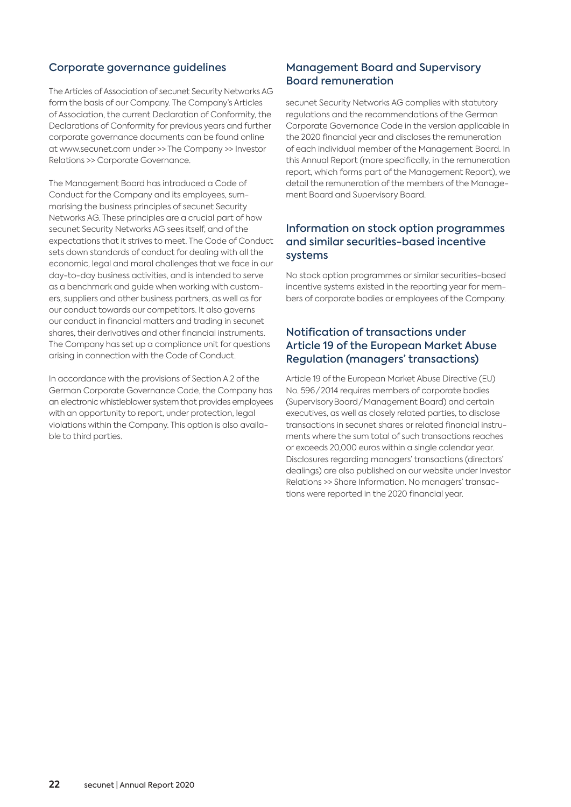## Corporate governance guidelines

The Articles of Association of secunet Security Networks AG form the basis of our Company. The Company's Articles of Association, the current Declaration of Conformity, the Declarations of Conformity for previous years and further corporate governance documents can be found online at www.secunet.com under >> The Company >> Investor Relations >> Corporate Governance.

The Management Board has introduced a Code of Conduct for the Company and its employees, summarising the business principles of secunet Security Networks AG. These principles are a crucial part of how secunet Security Networks AG sees itself, and of the expectations that it strives to meet. The Code of Conduct sets down standards of conduct for dealing with all the economic, legal and moral challenges that we face in our day-to-day business activities, and is intended to serve as a benchmark and guide when working with customers, suppliers and other business partners, as well as for our conduct towards our competitors. It also governs our conduct in financial matters and trading in secunet shares, their derivatives and other financial instruments. The Company has set up a compliance unit for questions arising in connection with the Code of Conduct.

In accordance with the provisions of Section A.2 of the German Corporate Governance Code, the Company has an electronic whistleblower system that provides employees with an opportunity to report, under protection, legal violations within the Company. This option is also available to third parties.

## Management Board and Supervisory Board remuneration

secunet Security Networks AG complies with statutory regulations and the recommendations of the German Corporate Governance Code in the version applicable in the 2020 financial year and discloses the remuneration of each individual member of the Management Board. In this Annual Report (more specifically, in the remuneration report, which forms part of the Management Report), we detail the remuneration of the members of the Management Board and Supervisory Board.

## Information on stock option programmes and similar securities-based incentive systems

No stock option programmes or similar securities-based incentive systems existed in the reporting year for members of corporate bodies or employees of the Company.

## Notification of transactions under Article 19 of the European Market Abuse Regulation (managers' transactions)

Article 19 of the European Market Abuse Directive (EU) No. 596 / 2014 requires members of corporate bodies (Supervisory Board / Management Board) and certain executives, as well as closely related parties, to disclose transactions in secunet shares or related financial instruments where the sum total of such transactions reaches or exceeds 20,000 euros within a single calendar year. Disclosures regarding managers' transactions (directors' dealings) are also published on our website under Investor Relations >> Share Information. No managers' transactions were reported in the 2020 financial year.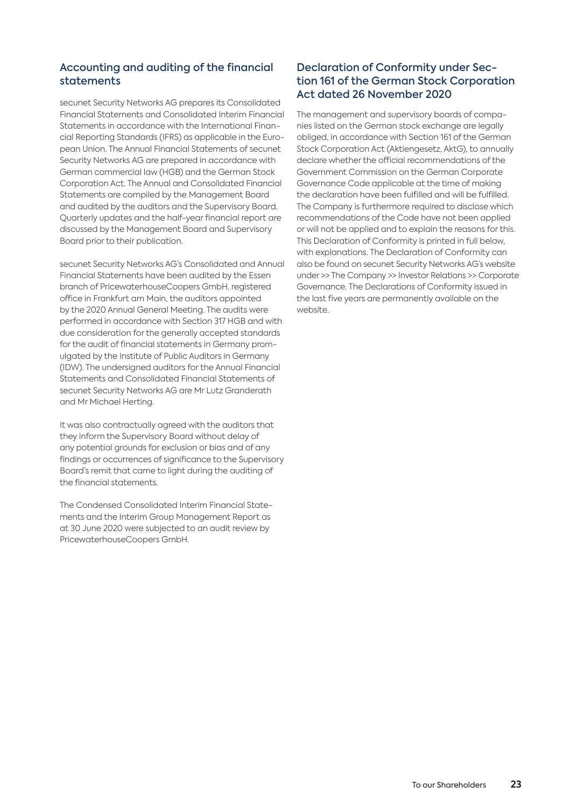## Accounting and auditing of the financial statements

secunet Security Networks AG prepares its Consolidated Financial Statements and Consolidated Interim Financial Statements in accordance with the International Financial Reporting Standards (IFRS) as applicable in the European Union. The Annual Financial Statements of secunet Security Networks AG are prepared in accordance with German commercial law (HGB) and the German Stock Corporation Act. The Annual and Consolidated Financial Statements are compiled by the Management Board and audited by the auditors and the Supervisory Board. Quarterly updates and the half-year financial report are discussed by the Management Board and Supervisory Board prior to their publication.

secunet Security Networks AG's Consolidated and Annual Financial Statements have been audited by the Essen branch of PricewaterhouseCoopers GmbH, registered office in Frankfurt am Main, the auditors appointed by the 2020 Annual General Meeting. The audits were performed in accordance with Section 317 HGB and with due consideration for the generally accepted standards for the audit of financial statements in Germany promulgated by the Institute of Public Auditors in Germany (IDW). The undersigned auditors for the Annual Financial Statements and Consolidated Financial Statements of secunet Security Networks AG are Mr Lutz Granderath and Mr Michael Herting.

It was also contractually agreed with the auditors that they inform the Supervisory Board without delay of any potential grounds for exclusion or bias and of any findings or occurrences of significance to the Supervisory Board's remit that came to light during the auditing of the financial statements.

The Condensed Consolidated Interim Financial Statements and the Interim Group Management Report as at 30 June 2020 were subjected to an audit review by PricewaterhouseCoopers GmbH.

# Declaration of Conformity under Section 161 of the German Stock Corporation Act dated 26 November 2020

The management and supervisory boards of companies listed on the German stock exchange are legally obliged, in accordance with Section 161 of the German Stock Corporation Act (Aktiengesetz, AktG), to annually declare whether the official recommendations of the Government Commission on the German Corporate Governance Code applicable at the time of making the declaration have been fulfilled and will be fulfilled. The Company is furthermore required to disclose which recommendations of the Code have not been applied or will not be applied and to explain the reasons for this. This Declaration of Conformity is printed in full below, with explanations. The Declaration of Conformity can also be found on secunet Security Networks AG's website under >> The Company >> Investor Relations >> Corporate Governance. The Declarations of Conformity issued in the last five years are permanently available on the website.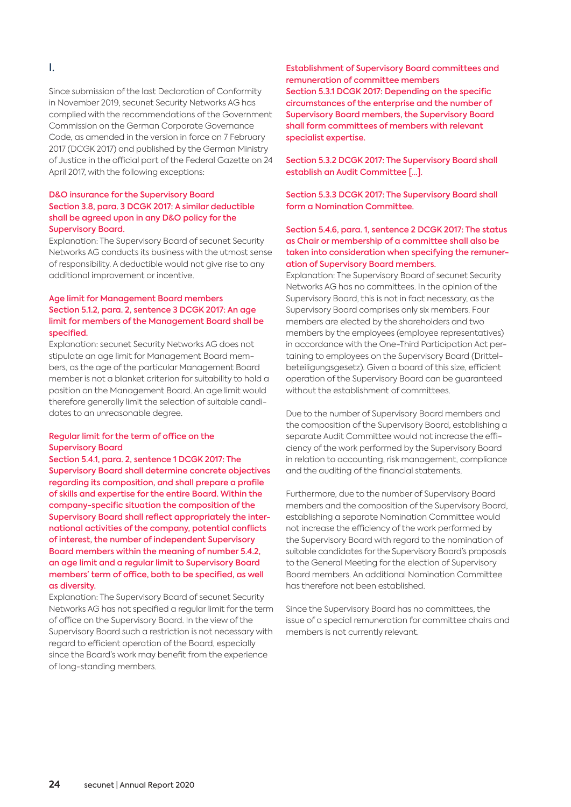#### I.

Since submission of the last Declaration of Conformity in November 2019, secunet Security Networks AG has complied with the recommendations of the Government Commission on the German Corporate Governance Code, as amended in the version in force on 7 February 2017 (DCGK 2017) and published by the German Ministry of Justice in the official part of the Federal Gazette on 24 April 2017, with the following exceptions:

#### D&O insurance for the Supervisory Board Section 3.8, para. 3 DCGK 2017: A similar deductible shall be agreed upon in any D&O policy for the Supervisory Board.

Explanation: The Supervisory Board of secunet Security Networks AG conducts its business with the utmost sense of responsibility. A deductible would not give rise to any additional improvement or incentive.

#### Age limit for Management Board members Section 5.1.2, para. 2, sentence 3 DCGK 2017: An age limit for members of the Management Board shall be specified.

Explanation: secunet Security Networks AG does not stipulate an age limit for Management Board members, as the age of the particular Management Board member is not a blanket criterion for suitability to hold a position on the Management Board. An age limit would therefore generally limit the selection of suitable candidates to an unreasonable degree.

#### Regular limit for the term of office on the Supervisory Board

Section 5.4.1, para. 2, sentence 1 DCGK 2017: The Supervisory Board shall determine concrete objectives regarding its composition, and shall prepare a profile of skills and expertise for the entire Board. Within the company-specific situation the composition of the Supervisory Board shall reflect appropriately the international activities of the company, potential conflicts of interest, the number of independent Supervisory Board members within the meaning of number 5.4.2, an age limit and a regular limit to Supervisory Board members' term of office, both to be specified, as well as diversity.

Explanation: The Supervisory Board of secunet Security Networks AG has not specified a regular limit for the term of office on the Supervisory Board. In the view of the Supervisory Board such a restriction is not necessary with regard to efficient operation of the Board, especially since the Board's work may benefit from the experience of long-standing members.

Establishment of Supervisory Board committees and remuneration of committee members Section 5.3.1 DCGK 2017: Depending on the specific circumstances of the enterprise and the number of Supervisory Board members, the Supervisory Board shall form committees of members with relevant specialist expertise.

Section 5.3.2 DCGK 2017: The Supervisory Board shall establish an Audit Committee [...].

Section 5.3.3 DCGK 2017: The Supervisory Board shall form a Nomination Committee.

#### Section 5.4.6, para. 1, sentence 2 DCGK 2017: The status as Chair or membership of a committee shall also be taken into consideration when specifying the remuneration of Supervisory Board members.

Explanation: The Supervisory Board of secunet Security Networks AG has no committees. In the opinion of the Supervisory Board, this is not in fact necessary, as the Supervisory Board comprises only six members. Four members are elected by the shareholders and two members by the employees (employee representatives) in accordance with the One-Third Participation Act pertaining to employees on the Supervisory Board (Drittelbeteiligungsgesetz). Given a board of this size, efficient operation of the Supervisory Board can be guaranteed without the establishment of committees.

Due to the number of Supervisory Board members and the composition of the Supervisory Board, establishing a separate Audit Committee would not increase the efficiency of the work performed by the Supervisory Board in relation to accounting, risk management, compliance and the auditing of the financial statements.

Furthermore, due to the number of Supervisory Board members and the composition of the Supervisory Board, establishing a separate Nomination Committee would not increase the efficiency of the work performed by the Supervisory Board with regard to the nomination of suitable candidates for the Supervisory Board's proposals to the General Meeting for the election of Supervisory Board members. An additional Nomination Committee has therefore not been established.

Since the Supervisory Board has no committees, the issue of a special remuneration for committee chairs and members is not currently relevant.